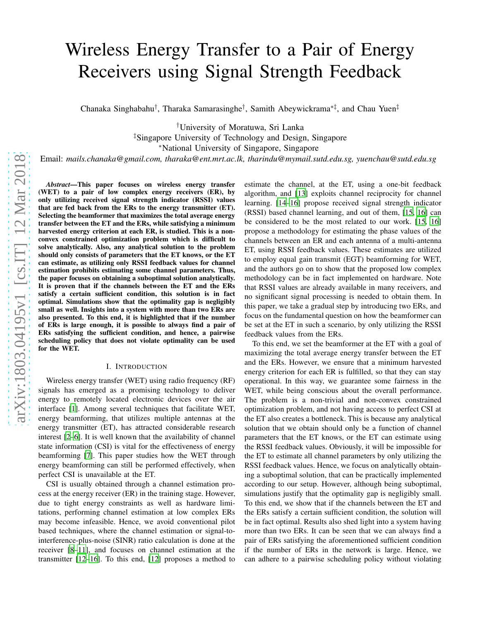# Wireless Energy Transfer to a Pair of Energy Receivers using Signal Strength Feedback

Chanaka Singhabahu<sup>†</sup>, Tharaka Samarasinghe<sup>†</sup>, Samith Abeywickrama<sup>∗‡</sup>, and Chau Yuen<sup>‡</sup>

†University of Moratuwa, Sri Lanka

‡Singapore University of Technology and Design, Singapore

<sup>∗</sup>National University of Singapore, Singapore

Email: *mails.chanaka@gmail.com, tharaka@ent.mrt.ac.lk, tharindu@mymail.sutd.edu.sg, yuenchau@sutd.edu.sg*

*Abstract*—This paper focuses on wireless energy transfer (WET) to a pair of low complex energy receivers (ER), by only utilizing received signal strength indicator (RSSI) values that are fed back from the ERs to the energy transmitter (ET). Selecting the beamformer that maximizes the total average energy transfer between the ET and the ERs, while satisfying a minimum harvested energy criterion at each ER, is studied. This is a nonconvex constrained optimization problem which is difficult to solve analytically. Also, any analytical solution to the problem should only consists of parameters that the ET knows, or the ET can estimate, as utilizing only RSSI feedback values for channel estimation prohibits estimating some channel parameters. Thus, the paper focuses on obtaining a suboptimal solution analytically. It is proven that if the channels between the ET and the ERs satisfy a certain sufficient condition, this solution is in fact optimal. Simulations show that the optimality gap is negligibly small as well. Insights into a system with more than two ERs are also presented. To this end, it is highlighted that if the number of ERs is large enough, it is possible to always find a pair of ERs satisfying the sufficient condition, and hence, a pairwise scheduling policy that does not violate optimality can be used for the WET.

## I. INTRODUCTION

Wireless energy transfer (WET) using radio frequency (RF) signals has emerged as a promising technology to deliver energy to remotely located electronic devices over the air interface [\[1](#page-5-0)]. Among several techniques that facilitate WET, energy beamforming, that utilizes multiple antennas at the energy transmitter (ET), has attracted considerable research interest [\[2](#page-5-1)[–6\]](#page-5-2). It is well known that the availability of channel state information (CSI) is vital for the effectiveness of energy beamforming [\[7](#page-6-0)]. This paper studies how the WET through energy beamforming can still be performed effectively, when perfect CSI is unavailable at the ET.

CSI is usually obtained through a channel estimation process at the energy receiver (ER) in the training stage. However, due to tight energy constraints as well as hardware limitations, performing channel estimation at low complex ERs may become infeasible. Hence, we avoid conventional pilot based techniques, where the channel estimation or signal-tointerference-plus-noise (SINR) ratio calculation is done at the receiver [\[8](#page-6-1)[–11\]](#page-6-2), and focuses on channel estimation at the transmitter [\[12](#page-6-3)[–16\]](#page-6-4). To this end, [\[12](#page-6-3)] proposes a method to estimate the channel, at the ET, using a one-bit feedback algorithm, and [\[13\]](#page-6-5) exploits channel reciprocity for channel learning. [\[14](#page-6-6)[–16](#page-6-4)] propose received signal strength indicator (RSSI) based channel learning, and out of them, [\[15,](#page-6-7) [16\]](#page-6-4) can be considered to be the most related to our work. [\[15,](#page-6-7) [16\]](#page-6-4) propose a methodology for estimating the phase values of the channels between an ER and each antenna of a multi-antenna ET, using RSSI feedback values. These estimates are utilized to employ equal gain transmit (EGT) beamforming for WET, and the authors go on to show that the proposed low complex methodology can be in fact implemented on hardware. Note that RSSI values are already available in many receivers, and no significant signal processing is needed to obtain them. In this paper, we take a gradual step by introducing two ERs, and focus on the fundamental question on how the beamformer can be set at the ET in such a scenario, by only utilizing the RSSI feedback values from the ERs.

To this end, we set the beamformer at the ET with a goal of maximizing the total average energy transfer between the ET and the ERs. However, we ensure that a minimum harvested energy criterion for each ER is fulfilled, so that they can stay operational. In this way, we guarantee some fairness in the WET, while being conscious about the overall performance. The problem is a non-trivial and non-convex constrained optimization problem, and not having access to perfect CSI at the ET also creates a bottleneck. This is because any analytical solution that we obtain should only be a function of channel parameters that the ET knows, or the ET can estimate using the RSSI feedback values. Obviously, it will be impossible for the ET to estimate all channel parameters by only utilizing the RSSI feedback values. Hence, we focus on analytically obtaining a suboptimal solution, that can be practically implemented according to our setup. However, although being suboptimal, simulations justify that the optimality gap is negligibly small. To this end, we show that if the channels between the ET and the ERs satisfy a certain sufficient condition, the solution will be in fact optimal. Results also shed light into a system having more than two ERs. It can be seen that we can always find a pair of ERs satisfying the aforementioned sufficient condition if the number of ERs in the network is large. Hence, we can adhere to a pairwise scheduling policy without violating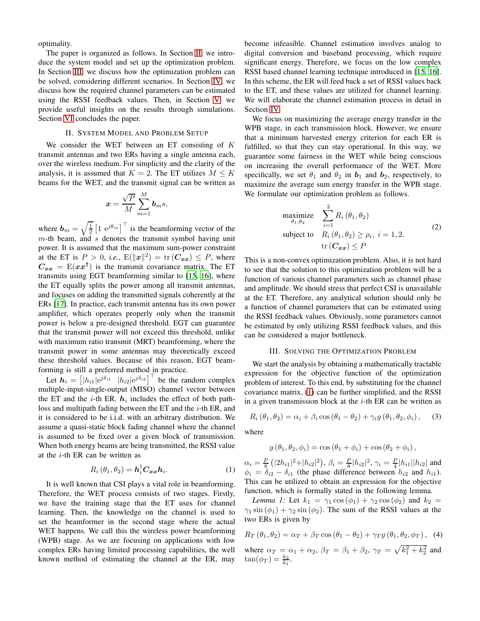optimality.

The paper is organized as follows. In Section [II,](#page-1-0) we introduce the system model and set up the optimization problem. In Section [III,](#page-1-1) we discuss how the optimization problem can be solved, considering different scenarios. In Section [IV,](#page-4-0) we discuss how the required channel parameters can be estimated using the RSSI feedback values. Then, in Section [V,](#page-4-1) we provide useful insights on the results through simulations. Section [VI](#page-5-3) concludes the paper.

## II. SYSTEM MODEL AND PROBLEM SETUP

<span id="page-1-0"></span>We consider the WET between an ET consisting of K transmit antennas and two ERs having a single antenna each, over the wireless medium. For simplicity and the clarity of the analysis, it is assumed that  $K = 2$ . The ET utilizes  $M \leq K$ beams for the WET, and the transmit signal can be written as

$$
\boldsymbol{x} = \frac{\sqrt{P}}{M} \sum_{m=1}^{M} \boldsymbol{b}_m s,
$$

where  $\mathbf{b}_m = \sqrt{\frac{1}{2}} \left[ 1 \,\mathrm{e}^{j\theta_m} \right]^\top$  is the beamforming vector of the  $m$ -th beam, and s denotes the transmit symbol having unit power. It is assumed that the maximum sum-power constraint at the ET is  $P > 0$ , *i.e.*,  $E(\|\boldsymbol{x}\|^2) = \text{tr}(\boldsymbol{C}_{\boldsymbol{x}\boldsymbol{x}}) \leq P$ , where  $C_{xx} = E(xx^{\dagger})$  is the transmit covariance matrix. The ET transmits using EGT beamforming similar to [\[15](#page-6-7), [16](#page-6-4)], where the ET equally splits the power among all transmit antennas, and focuses on adding the transmitted signals coherently at the ERs [\[17\]](#page-6-8). In practice, each transmit antenna has its own power amplifier, which operates properly only when the transmit power is below a pre-designed threshold. EGT can guarantee that the transmit power will not exceed this threshold, unlike with maximum ratio transmit (MRT) beamforming, where the transmit power in some antennas may theoretically exceed these threshold values. Because of this reason, EGT beamforming is still a preferred method in practice.

Let  $h_i = \left[ |h_{i1}| e^{j\delta_{i1}} \quad |h_{i2}| e^{j\delta_{i2}} \right]$  be the random complex multiple-input-single-output (MISO) channel vector between the ET and the *i*-th ER.  $h_i$  includes the effect of both pathloss and multipath fading between the ET and the  $i$ -th ER, and it is considered to be i.i.d. with an arbitrary distribution. We assume a quasi-static block fading channel where the channel is assumed to be fixed over a given block of transmission. When both energy beams are being transmitted, the RSSI value at the i-th ER can be written as

<span id="page-1-2"></span>
$$
R_i(\theta_1, \theta_2) = \mathbf{h}_i^{\dagger} \mathbf{C}_{\boldsymbol{x}\boldsymbol{x}} \mathbf{h}_i. \tag{1}
$$

It is well known that CSI plays a vital role in beamforming. Therefore, the WET process consists of two stages. Firstly, we have the training stage that the ET uses for channel learning. Then, the knowledge on the channel is used to set the beamformer in the second stage where the actual WET happens. We call this the wireless power beamforming (WPB) stage. As we are focusing on applications with low complex ERs having limited processing capabilities, the well known method of estimating the channel at the ER, may become infeasible. Channel estimation involves analog to digital conversion and baseband processing, which require significant energy. Therefore, we focus on the low complex RSSI based channel learning technique introduced in [\[15,](#page-6-7) [16](#page-6-4)]. In this scheme, the ER will feed back a set of RSSI values back to the ET, and these values are utilized for channel learning. We will elaborate the channel estimation process in detail in Section [IV.](#page-4-0)

We focus on maximizing the average energy transfer in the WPB stage, in each transmission block. However, we ensure that a minimum harvested energy criterion for each ER is fulfilled, so that they can stay operational. In this way, we guarantee some fairness in the WET while being conscious on increasing the overall performance of the WET. More specifically, we set  $\theta_1$  and  $\theta_2$  in  $\mathbf{b}_1$  and  $\mathbf{b}_2$ , respectively, to maximize the average sum energy transfer in the WPB stage. We formulate our optimization problem as follows.

$$
\begin{array}{ll}\text{maximize} & \sum_{i=1}^{2} R_i \left( \theta_1, \theta_2 \right) \\ \text{subject to} & R_i \left( \theta_1, \theta_2 \right) \ge \rho_i, \ i = 1, 2. \\ & \text{tr}\left( \mathbf{C}_{\boldsymbol{x}\boldsymbol{x}} \right) \le P \end{array} \tag{2}
$$

This is a non-convex optimization problem. Also, it is not hard to see that the solution to this optimization problem will be a function of various channel parameters such as channel phase and amplitude. We should stress that perfect CSI is unavailable at the ET. Therefore, any analytical solution should only be a function of channel parameters that can be estimated using the RSSI feedback values. Obviously, some parameters cannot be estimated by only utilizing RSSI feedback values, and this can be considered a major bottleneck.

#### III. SOLVING THE OPTIMIZATION PROBLEM

<span id="page-1-1"></span>We start the analysis by obtaining a mathematically tractable expression for the objective function of the optimization problem of interest. To this end, by substituting for the channel covariance matrix, [\(1\)](#page-1-2) can be further simplified, and the RSSI in a given transmission block at the  $i$ -th ER can be written as

<span id="page-1-4"></span>
$$
R_i(\theta_1, \theta_2) = \alpha_i + \beta_i \cos(\theta_1 - \theta_2) + \gamma_i g(\theta_1, \theta_2, \phi_i), \quad (3)
$$

where

<span id="page-1-3"></span>
$$
g(\theta_1, \theta_2, \phi_i) = \cos(\theta_1 + \phi_i) + \cos(\theta_2 + \phi_i),
$$

 $\alpha_i = \frac{P}{8} (|2h_{i1}|^2 + |h_{i2}|^2), \ \beta_i = \frac{P}{8} |h_{i2}|^2, \ \gamma_i = \frac{P}{4} |h_{i1}| |h_{i2}|$  and  $\phi_i = \delta_{i2} - \delta_{i1}$  (the phase difference between  $h_{i2}$  and  $h_{i1}$ ). This can be utilized to obtain an expression for the objective function, which is formally stated in the following lemma.

*Lemma 1:* Let  $k_1 = \gamma_1 \cos(\phi_1) + \gamma_2 \cos(\phi_2)$  and  $k_2 =$  $\gamma_1 \sin (\phi_1) + \gamma_2 \sin (\phi_2)$ . The sum of the RSSI values at the two ERs is given by

<span id="page-1-5"></span>
$$
R_T(\theta_1, \theta_2) = \alpha_T + \beta_T \cos(\theta_1 - \theta_2) + \gamma_T g(\theta_1, \theta_2, \phi_T), \quad (4)
$$

where  $\alpha_T = \alpha_1 + \alpha_2$ ,  $\beta_T = \beta_1 + \beta_2$ ,  $\gamma_T = \sqrt{k_1^2 + k_2^2}$  and  $\tan(\phi_T) = \frac{k_2}{k_1}.$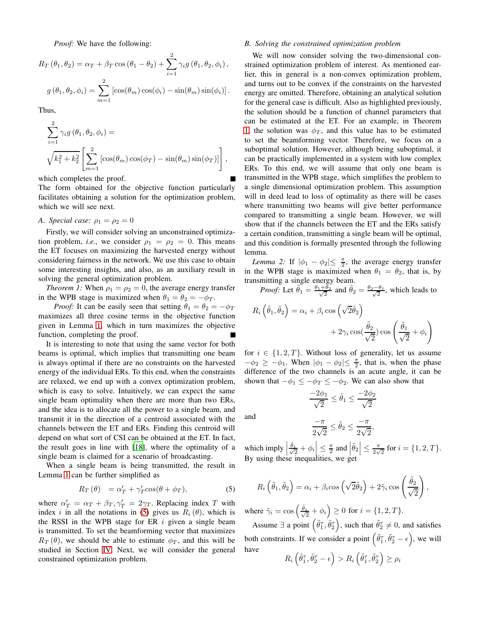*Proof:* We have the following:

$$
R_T(\theta_1, \theta_2) = \alpha_T + \beta_T \cos(\theta_1 - \theta_2) + \sum_{i=1}^2 \gamma_i g(\theta_1, \theta_2, \phi_i),
$$

$$
g(\theta_1, \theta_2, \phi_i) = \sum_{m=1}^2 \left[ \cos(\theta_m) \cos(\phi_i) - \sin(\theta_m) \sin(\phi_i) \right].
$$

Thus,

$$
\sum_{i=1}^{2} \gamma_i g(\theta_1, \theta_2, \phi_i) =
$$
\n
$$
\sqrt{k_1^2 + k_2^2} \left[ \sum_{m=1}^{2} \left[ \cos(\theta_m) \cos(\phi_T) - \sin(\theta_m) \sin(\phi_T) \right] \right],
$$

which completes the proof.

The form obtained for the objective function particularly facilitates obtaining a solution for the optimization problem, which we will see next.

A. Special case: 
$$
\rho_1 = \rho_2 = 0
$$

Firstly, we will consider solving an unconstrained optimization problem, *i.e.*, we consider  $\rho_1 = \rho_2 = 0$ . This means the ET focuses on maximizing the harvested energy without considering fairness in the network. We use this case to obtain some interesting insights, and also, as an auxiliary result in solving the general optimization problem.

*Theorem 1:* When  $\rho_1 = \rho_2 = 0$ , the average energy transfer in the WPB stage is maximized when  $\theta_1 = \theta_2 = -\phi_T$ .

*Proof:* It can be easily seen that setting  $\theta_1 = \theta_2 = -\phi_T$ maximizes all three cosine terms in the objective function given in Lemma [1,](#page-1-3) which in turn maximizes the objective function, completing the proof.

It is interesting to note that using the same vector for both beams is optimal, which implies that transmitting one beam is always optimal if there are no constraints on the harvested energy of the individual ERs. To this end, when the constraints are relaxed, we end up with a convex optimization problem, which is easy to solve. Intuitively, we can expect the same single beam optimality when there are more than two ERs, and the idea is to allocate all the power to a single beam, and transmit it in the direction of a centroid associated with the channels between the ET and ERs. Finding this centroid will depend on what sort of CSI can be obtained at the ET. In fact, the result goes in line with [\[18\]](#page-6-9), where the optimality of a single beam is claimed for a scenario of broadcasting.

When a single beam is being transmitted, the result in Lemma [1](#page-1-3) can be further simplified as

<span id="page-2-0"></span>
$$
R_T(\theta) = \alpha'_T + \gamma'_T \cos(\theta + \phi_T), \tag{5}
$$

where  $\alpha'_T = \alpha_T + \beta_T, \gamma'_T = 2\gamma_T$ . Replacing index T with index i in all the notations in [\(5\)](#page-2-0) gives us  $R_i(\theta)$ , which is the RSSI in the WPB stage for ER  $i$  given a single beam is transmitted. To set the beamforming vector that maximizes  $R_T(\theta)$ , we should be able to estimate  $\phi_T$ , and this will be studied in Section [IV.](#page-4-0) Next, we will consider the general constrained optimization problem.

## *B. Solving the constrained optimization problem*

We will now consider solving the two-dimensional constrained optimization problem of interest. As mentioned earlier, this in general is a non-convex optimization problem, and turns out to be convex if the constraints on the harvested energy are omitted. Therefore, obtaining an analytical solution for the general case is difficult. Also as highlighted previously, the solution should be a function of channel parameters that can be estimated at the ET. For an example, in Theorem [1,](#page-2-1) the solution was  $\phi_T$ , and this value has to be estimated to set the beamforming vector. Therefore, we focus on a suboptimal solution. However, although being suboptimal, it can be practically implemented in a system with low complex ERs. To this end, we will assume that only one beam is transmitted in the WPB stage, which simplifies the problem to a single dimensional optimization problem. This assumption will in deed lead to loss of optimality as there will be cases where transmitting two beams will give better performance compared to transmitting a single beam. However, we will show that if the channels between the ET and the ERs satisfy a certain condition, transmitting a single beam will be optimal, and this condition is formally presented through the following lemma.

<span id="page-2-2"></span><span id="page-2-1"></span>*Lemma 2:* If  $|\phi_1 - \phi_2| \leq \frac{\pi}{2}$ , the average energy transfer in the WPB stage is maximized when  $\theta_1 = \theta_2$ , that is, by transmitting a single energy beam.

*Proof:* Let  $\tilde{\theta}_1 = \frac{\theta_1 + \tilde{\theta}_2}{\sqrt{2}}$  $\frac{\overline{\theta_2}}{2}$  and  $\tilde{\theta}_2 = \frac{\theta_2 - \theta_1}{\sqrt{2}}$ , which leads to

$$
R_i\left(\tilde{\theta}_1, \tilde{\theta}_2\right) = \alpha_i + \beta_i \cos\left(\sqrt{2}\tilde{\theta}_2\right) + 2\gamma_i \cos\left(\frac{\tilde{\theta}_2}{\sqrt{2}}\right) \cos\left(\frac{\tilde{\theta}_1}{\sqrt{2}} + \phi_i\right)
$$

for  $i \in \{1, 2, T\}$ . Without loss of generality, let us assume  $-\phi_2 \geq -\phi_1$ . When  $|\phi_1 - \phi_2| \leq \frac{\pi}{2}$ , that is, when the phase difference of the two channels is an acute angle, it can be shown that  $-\phi_1 \leq -\phi_T \leq -\phi_2$ . We can also show that

$$
\frac{-2\phi_1}{\sqrt{2}} \le \tilde{\theta}_1 \le \frac{-2\phi_2}{\sqrt{2}}
$$

and

$$
\frac{-\pi}{2\sqrt{2}} \le \tilde{\theta}_2 \le \frac{-\pi}{2\sqrt{2}},
$$

which imply  $\left|\frac{\tilde{\theta}_1}{\sqrt{2}} + \phi_i\right| \leq \frac{\pi}{2}$  and  $\left|\tilde{\theta}_2\right| \leq \frac{\pi}{2\sqrt{2}}$  for  $i = \{1, 2, T\}$ . By using these inequalities, we get

$$
R_i\left(\tilde{\theta}_1, \tilde{\theta}_2\right) = \alpha_i + \beta_i \cos\left(\sqrt{2}\tilde{\theta}_2\right) + 2\tilde{\gamma}_i \cos\left(\frac{\tilde{\theta}_2}{\sqrt{2}}\right),
$$

where  $\tilde{\gamma}_i = \cos\left(\frac{\tilde{\theta}_1}{\sqrt{2}} + \phi_i\right) \ge 0$  for  $i = \{1, 2, T\}.$ 

Assume  $\exists$  a point  $(\tilde{\theta}_1^{\tau}, \tilde{\theta}_2^{\tau})$ , such that  $\tilde{\theta}_2^{\tau} \neq 0$ , and satisfies both constraints. If we consider a point  $(\tilde{\theta}_1^{\tau}, \tilde{\theta}_2^{\tau} - \epsilon)$ , we will have

$$
R_i\left(\tilde{\theta}_1^{\tau}, \tilde{\theta}_2^{\tau} - \epsilon\right) > R_i\left(\tilde{\theta}_1^{\tau}, \tilde{\theta}_2^{\tau}\right) \ge \rho_i
$$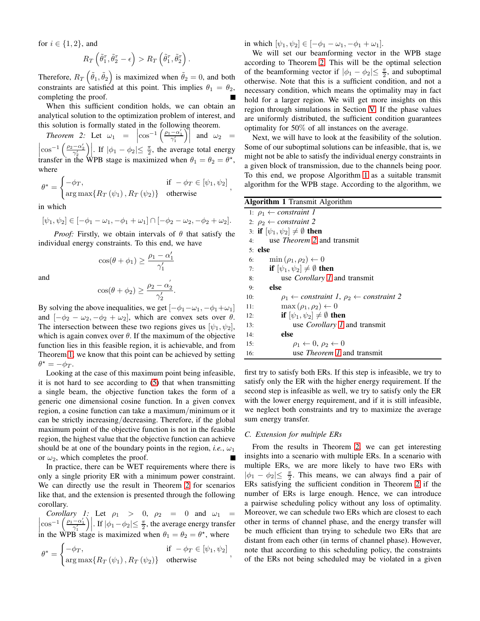for  $i \in \{1, 2\}$ , and

$$
R_T\left(\tilde{\theta}_1^{\tau},\tilde{\theta}_2^{\tau}-\epsilon\right) > R_T\left(\tilde{\theta}_1^{\tau},\tilde{\theta}_2^{\tau}\right).
$$

Therefore,  $R_T\left(\tilde{\theta}_1, \tilde{\theta}_2\right)$  is maximized when  $\tilde{\theta}_2 = 0$ , and both constraints are satisfied at this point. This implies  $\theta_1 = \theta_2$ , completing the proof.

When this sufficient condition holds, we can obtain an analytical solution to the optimization problem of interest, and this solution is formally stated in the following theorem.

Theorem 2: Let  $\omega_1 = \left[\cos^{-1}\left(\frac{\rho_1 - \alpha'_1}{\gamma'_1}\right)\right]$  and  $\omega_2 =$  $\left|\cos^{-1}\left(\frac{\rho_2-\alpha'_2}{\gamma'_2}\right)\right|$ . If  $|\phi_1-\phi_2|\leq \frac{\pi}{2}$ , the average total energy transfer in the WPB stage is maximized when  $\theta_1 = \theta_2 = \theta^*$ , where

$$
\theta^* = \begin{cases}\n-\phi_T, & \text{if } -\phi_T \in [\psi_1, \psi_2] \\
\arg \max \{ R_T(\psi_1), R_T(\psi_2) \} & \text{otherwise}\n\end{cases}
$$

,

in which

$$
[\psi_1, \psi_2] \in [-\phi_1 - \omega_1, -\phi_1 + \omega_1] \cap [-\phi_2 - \omega_2, -\phi_2 + \omega_2].
$$

*Proof:* Firstly, we obtain intervals of  $\theta$  that satisfy the individual energy constraints. To this end, we have

 $\cos(\theta + \phi_1) \geq \frac{\rho_1 - \alpha'_1}{\gamma'_1}$ 

and

$$
\cos(\theta + \phi_2) \ge \frac{\rho_2 - \alpha'_2}{\gamma'_2}.
$$

By solving the above inequalities, we get  $[-\phi_1-\omega_1, -\phi_1+\omega_1]$ and  $[-\phi_2 - \omega_2, -\phi_2 + \omega_2]$ , which are convex sets over  $\theta$ . The intersection between these two regions gives us  $[\psi_1, \psi_2]$ , which is again convex over  $\theta$ . If the maximum of the objective function lies in this feasible region, it is achievable, and from Theorem [1,](#page-2-1) we know that this point can be achieved by setting  $\theta^* = -\phi_T.$ 

Looking at the case of this maximum point being infeasible, it is not hard to see according to [\(5\)](#page-2-0) that when transmitting a single beam, the objective function takes the form of a generic one dimensional cosine function. In a given convex region, a cosine function can take a maximum/minimum or it can be strictly increasing/decreasing. Therefore, if the global maximum point of the objective function is not in the feasible region, the highest value that the objective function can achieve should be at one of the boundary points in the region, *i.e.*,  $\omega_1$ or  $\omega_2$ , which completes the proof.

In practice, there can be WET requirements where there is only a single priority ER with a minimum power constraint. We can directly use the result in Theorem [2](#page-3-0) for scenarios like that, and the extension is presented through the following corollary.

<span id="page-3-2"></span>*Corollary 1:* Let  $\rho_1 > 0$ ,  $\rho_2 = 0$  and  $\omega_1 = \left| \cos^{-1} \left( \frac{\rho_1 - \alpha'_1}{\gamma'_1} \right) \right|$ . If  $|\phi_1 - \phi_2| \leq \frac{\pi}{2}$ , the average energy transfer in the WPB stage is maximized when  $\theta_1 = \theta_2 = \theta^*$ , where

$$
\theta^* = \begin{cases}\n-\phi_T, & \text{if } -\phi_T \in [\psi_1, \psi_2] \\
\arg \max \{ R_T(\psi_1), R_T(\psi_2) \} & \text{otherwise}\n\end{cases}
$$

in which  $[\psi_1, \psi_2] \in [-\phi_1 - \omega_1, -\phi_1 + \omega_1].$ 

We will set our beamforming vector in the WPB stage according to Theorem [2.](#page-3-0) This will be the optimal selection of the beamforming vector if  $|\phi_1 - \phi_2| \leq \frac{\pi}{2}$ , and suboptimal otherwise. Note that this is a sufficient condition, and not a necessary condition, which means the optimality may in fact hold for a larger region. We will get more insights on this region through simulations in Section [V.](#page-4-1) If the phase values are uniformly distributed, the sufficient condition guarantees optimality for 50% of all instances on the average.

<span id="page-3-0"></span>Next, we will have to look at the feasibility of the solution. Some of our suboptimal solutions can be infeasible, that is, we might not be able to satisfy the individual energy constraints in a given block of transmission, due to the channels being poor. To this end, we propose Algorithm [1](#page-3-1) as a suitable transmit algorithm for the WPB stage. According to the algorithm, we

<span id="page-3-1"></span>

| <b>Algorithm 1</b> Transmit Algorithm |                                                                    |
|---------------------------------------|--------------------------------------------------------------------|
|                                       | 1: $\rho_1 \leftarrow$ constraint 1                                |
|                                       | 2: $\rho_2 \leftarrow$ constraint 2                                |
|                                       | 3: if $[\psi_1, \psi_2] \neq \emptyset$ then                       |
| 4:                                    | use <i>Theorem</i> 2 and transmit                                  |
|                                       | $5:$ else                                                          |
| 6:                                    | $\min(\rho_1, \rho_2) \leftarrow 0$                                |
| 7:                                    | if $[\psi_1, \psi_2] \neq \emptyset$ then                          |
| 8:                                    | use Corollary 1 and transmit                                       |
| 9:                                    | else                                                               |
| 10:                                   | $\rho_1 \leftarrow$ constraint 1, $\rho_2 \leftarrow$ constraint 2 |
| 11:                                   | $\max(\rho_1, \rho_2) \leftarrow 0$                                |
| 12:                                   | if $[\psi_1, \psi_2] \neq \emptyset$ then                          |
| 13:                                   | use <i>Corollary 1</i> and transmit                                |
| 14:                                   | else                                                               |
| 15:                                   | $\rho_1 \leftarrow 0, \, \rho_2 \leftarrow 0$                      |
| 16:                                   | use <i>Theorem 1</i> and transmit                                  |

first try to satisfy both ERs. If this step is infeasible, we try to satisfy only the ER with the higher energy requirement. If the second step is infeasible as well, we try to satisfy only the ER with the lower energy requirement, and if it is still infeasible, we neglect both constraints and try to maximize the average sum energy transfer.

# *C. Extension for multiple ERs*

From the results in Theorem [2,](#page-3-0) we can get interesting insights into a scenario with multiple ERs. In a scenario with multiple ERs, we are more likely to have two ERs with  $|\phi_1 - \phi_2| \leq \frac{\pi}{2}$ . This means, we can always find a pair of ERs satisfying the sufficient condition in Theorem [2](#page-3-0) if the number of ERs is large enough. Hence, we can introduce a pairwise scheduling policy without any loss of optimality. Moreover, we can schedule two ERs which are closest to each other in terms of channel phase, and the energy transfer will be much efficient than trying to schedule two ERs that are distant from each other (in terms of channel phase). However, note that according to this scheduling policy, the constraints of the ERs not being scheduled may be violated in a given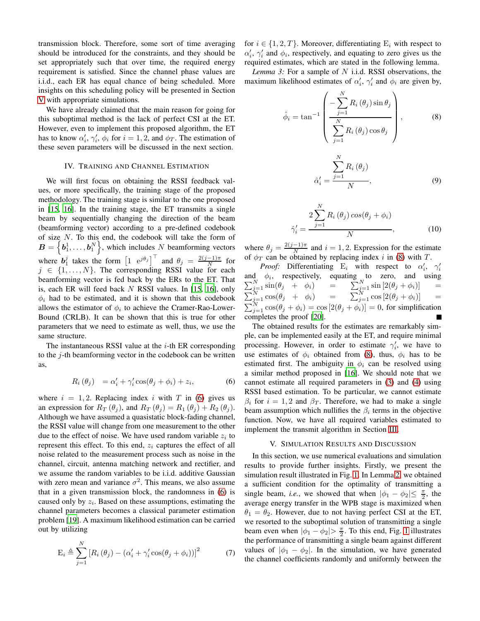transmission block. Therefore, some sort of time averaging should be introduced for the constraints, and they should be set appropriately such that over time, the required energy requirement is satisfied. Since the channel phase values are i.i.d., each ER has equal chance of being scheduled. More insights on this scheduling policy will be presented in Section [V](#page-4-1) with appropriate simulations.

We have already claimed that the main reason for going for this suboptimal method is the lack of perfect CSI at the ET. However, even to implement this proposed algorithm, the ET has to know  $\alpha'_i$ ,  $\gamma'_i$ ,  $\phi_i$  for  $i = 1, 2$ , and  $\phi_T$ . The estimation of these seven parameters will be discussed in the next section.

# IV. TRAINING AND CHANNEL ESTIMATION

<span id="page-4-0"></span>We will first focus on obtaining the RSSI feedback values, or more specifically, the training stage of the proposed methodology. The training stage is similar to the one proposed in [\[15,](#page-6-7) [16](#page-6-4)]. In the training stage, the ET transmits a single beam by sequentially changing the direction of the beam (beamforming vector) according to a pre-defined codebook of size  $N$ . To this end, the codebook will take the form of  $\boldsymbol{B} = \left\{ \boldsymbol{b}_1^1, \dots, \boldsymbol{b}_1^N \right\}$ , which includes N beamforming vectors where  $b_1^j$  takes the form  $\left[1 \ e^{j\theta_j}\right]$  and  $\theta_j = \frac{2(j-1)\pi}{N}$  for  $j \in \{1, \ldots, N\}$ . The corresponding RSSI value for each beamforming vector is fed back by the ERs to the ET. That is, each ER will feed back  $N$  RSSI values. In [\[15,](#page-6-7) [16\]](#page-6-4), only  $\phi_i$  had to be estimated, and it is shown that this codebook allows the estimator of  $\phi_i$  to achieve the Cramer-Rao-Lower-Bound (CRLB). It can be shown that this is true for other parameters that we need to estimate as well, thus, we use the same structure.

The instantaneous RSSI value at the  $i$ -th ER corresponding to the  $i$ -th beamforming vector in the codebook can be written as,

<span id="page-4-2"></span>
$$
R_i(\theta_j) = \alpha'_i + \gamma'_i \cos(\theta_j + \phi_i) + z_i,
$$
 (6)

where  $i = 1, 2$ . Replacing index i with T in [\(6\)](#page-4-2) gives us an expression for  $R_T(\theta_i)$ , and  $R_T(\theta_i) = R_1(\theta_i) + R_2(\theta_i)$ . Although we have assumed a quasistatic block-fading channel, the RSSI value will change from one measurement to the other due to the effect of noise. We have used random variable  $z_i$  to represent this effect. To this end,  $z_i$  captures the effect of all noise related to the measurement process such as noise in the channel, circuit, antenna matching network and rectifier, and we assume the random variables to be i.i.d. additive Gaussian with zero mean and variance  $\sigma^2$ . This means, we also assume that in a given transmission block, the randomness in [\(6\)](#page-4-2) is caused only by  $z_i$ . Based on these assumptions, estimating the channel parameters becomes a classical parameter estimation problem [\[19\]](#page-6-10). A maximum likelihood estimation can be carried out by utilizing

$$
\mathbf{E}_{i} \triangleq \sum_{j=1}^{N} \left[ R_{i} \left( \theta_{j} \right) - \left( \alpha_{i}^{\prime} + \gamma_{i}^{\prime} \cos(\theta_{j} + \phi_{i}) \right) \right]^{2} \tag{7}
$$

for  $i \in \{1, 2, T\}$ . Moreover, differentiating  $E_i$  with respect to  $\alpha'_i$ ,  $\gamma'_i$  and  $\phi_i$ , respectively, and equating to zero gives us the required estimates, which are stated in the following lemma.

*Lemma 3:* For a sample of N i.i.d. RSSI observations, the maximum likelihood estimates of  $\alpha'_i$ ,  $\gamma'_i$  and  $\phi_i$  are given by,

$$
\hat{\phi}_i = \tan^{-1} \left( \frac{-\sum_{j=1}^N R_i(\theta_j) \sin \theta_j}{\sum_{j=1}^N R_i(\theta_j) \cos \theta_j} \right),
$$
\n(8)

<span id="page-4-3"></span>
$$
\hat{\alpha}'_i = \frac{\sum_{j=1}^N R_i(\theta_j)}{N},\tag{9}
$$

$$
\hat{\gamma}_i' = \frac{2 \sum_{j=1}^N R_i(\theta_j) \cos(\theta_j + \phi_i)}{N}, \qquad (10)
$$

where  $\theta_j = \frac{2(j-1)\pi}{N}$  and  $i = 1, 2$ . Expression for the estimate of  $\phi_T$  can be obtained by replacing index i in [\(8\)](#page-4-3) with T.

*Proof:* Differentiating  $E_i$  with respect to  $\alpha'_i$ ,  $\gamma'_i$ and  $\phi_i$  $\sum$ d  $\phi_i$ , respectively, equating to zero, and using  $\phi_i$ , respectively, equating to zero, and using  $\sum_{j=1}^N \sin(2(\theta_j + \phi_i))$  =  $\sum_{j=1}^{N} \cos(\theta_j + \phi_i)$  =  $\sum_{j=1}^{N} \cos[2(\theta_j + \phi_i)]$  =  $\sum_{j=1}^{N} \cos(\theta_j + \phi_i) = \cos[2(\theta_j + \phi_i)] = 0$ , for simplification completes the proof [\[20\]](#page-6-11).

The obtained results for the estimates are remarkably simple, can be implemented easily at the ET, and require minimal processing. However, in order to estimate  $\gamma'_i$ , we have to use estimates of  $\phi_i$  obtained from [\(8\)](#page-4-3), thus,  $\phi_i$  has to be estimated first. The ambiguity in  $\phi_i$  can be resolved using a similar method proposed in [\[16\]](#page-6-4). We should note that we cannot estimate all required parameters in [\(3\)](#page-1-4) and [\(4\)](#page-1-5) using RSSI based estimation. To be particular, we cannot estimate  $\beta_i$  for  $i = 1, 2$  and  $\beta_T$ . Therefore, we had to make a single beam assumption which nullifies the  $\beta_i$  terms in the objective function. Now, we have all required variables estimated to implement the transmit algorithm in Section [III.](#page-1-1)

### V. SIMULATION RESULTS AND DISCUSSION

<span id="page-4-1"></span>In this section, we use numerical evaluations and simulation results to provide further insights. Firstly, we present the simulation result illustrated in Fig. [1.](#page-5-4) In Lemma [2,](#page-2-2) we obtained a sufficient condition for the optimality of transmitting a single beam, *i.e.*, we showed that when  $|\phi_1 - \phi_2| \leq \frac{\pi}{2}$ , the average energy transfer in the WPB stage is maximized when  $\theta_1 = \theta_2$ . However, due to not having perfect CSI at the ET, we resorted to the suboptimal solution of transmitting a single beam even when  $|\phi_1 - \phi_2| > \frac{\pi}{2}$ . To this end, Fig. [1](#page-5-4) illustrates the performance of transmitting a single beam against different values of  $|\phi_1 - \phi_2|$ . In the simulation, we have generated the channel coefficients randomly and uniformly between the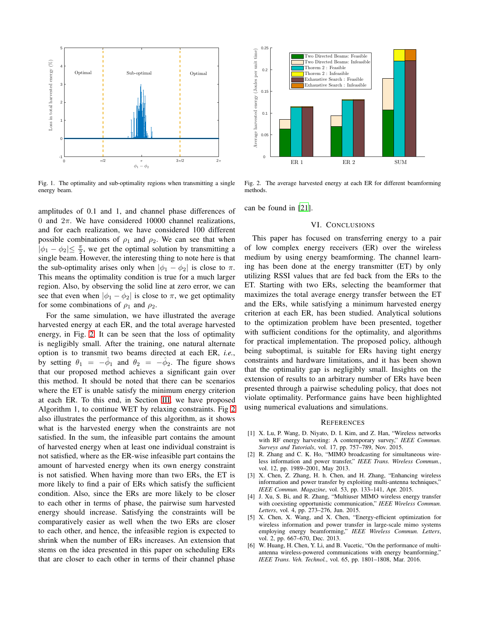

<span id="page-5-4"></span>Fig. 1. The optimality and sub-optimality regions when transmitting a single energy beam.

amplitudes of 0.1 and 1, and channel phase differences of 0 and  $2\pi$ . We have considered 10000 channel realizations, and for each realization, we have considered 100 different possible combinations of  $\rho_1$  and  $\rho_2$ . We can see that when  $|\phi_1 - \phi_2| \leq \frac{\pi}{2}$ , we get the optimal solution by transmitting a single beam. However, the interesting thing to note here is that the sub-optimality arises only when  $|\phi_1 - \phi_2|$  is close to  $\pi$ . This means the optimality condition is true for a much larger region. Also, by observing the solid line at zero error, we can see that even when  $|\phi_1 - \phi_2|$  is close to  $\pi$ , we get optimality for some combinations of  $\rho_1$  and  $\rho_2$ .

For the same simulation, we have illustrated the average harvested energy at each ER, and the total average harvested energy, in Fig. [2.](#page-5-5) It can be seen that the loss of optimality is negligibly small. After the training, one natural alternate option is to transmit two beams directed at each ER, *i.e.*, by setting  $\theta_1 = -\hat{\phi}_1$  and  $\theta_2 = -\hat{\phi}_2$ . The figure shows that our proposed method achieves a significant gain over this method. It should be noted that there can be scenarios where the ET is unable satisfy the minimum energy criterion at each ER. To this end, in Section [III,](#page-1-1) we have proposed Algorithm 1, to continue WET by relaxing constraints. Fig [2](#page-5-5) also illustrates the performance of this algorithm, as it shows what is the harvested energy when the constraints are not satisfied. In the sum, the infeasible part contains the amount of harvested energy when at least one individual constraint is not satisfied, where as the ER-wise infeasible part contains the amount of harvested energy when its own energy constraint is not satisfied. When having more than two ERs, the ET is more likely to find a pair of ERs which satisfy the sufficient condition. Also, since the ERs are more likely to be closer to each other in terms of phase, the pairwise sum harvested energy should increase. Satisfying the constraints will be comparatively easier as well when the two ERs are closer to each other, and hence, the infeasible region is expected to shrink when the number of ERs increases. An extension that stems on the idea presented in this paper on scheduling ERs that are closer to each other in terms of their channel phase



<span id="page-5-5"></span>Fig. 2. The average harvested energy at each ER for different beamforming methods.

<span id="page-5-3"></span>can be found in [\[21\]](#page-6-12).

#### VI. CONCLUSIONS

This paper has focused on transferring energy to a pair of low complex energy receivers (ER) over the wireless medium by using energy beamforming. The channel learning has been done at the energy transmitter (ET) by only utilizing RSSI values that are fed back from the ERs to the ET. Starting with two ERs, selecting the beamformer that maximizes the total average energy transfer between the ET and the ERs, while satisfying a minimum harvested energy criterion at each ER, has been studied. Analytical solutions to the optimization problem have been presented, together with sufficient conditions for the optimality, and algorithms for practical implementation. The proposed policy, although being suboptimal, is suitable for ERs having tight energy constraints and hardware limitations, and it has been shown that the optimality gap is negligibly small. Insights on the extension of results to an arbitrary number of ERs have been presented through a pairwise scheduling policy, that does not violate optimality. Performance gains have been highlighted using numerical evaluations and simulations.

#### **REFERENCES**

- <span id="page-5-0"></span>[1] X. Lu, P. Wang, D. Niyato, D. I. Kim, and Z. Han, "Wireless networks with RF energy harvesting: A contemporary survey," *IEEE Commun. Surveys and Tutorials*, vol. 17, pp. 757–789, Nov. 2015.
- <span id="page-5-1"></span>[2] R. Zhang and C. K. Ho, "MIMO broadcasting for simultaneous wireless information and power transfer," *IEEE Trans. Wireless Commun.*, vol. 12, pp. 1989–2001, May 2013.
- [3] X. Chen, Z. Zhang, H. h. Chen, and H. Zhang, "Enhancing wireless information and power transfer by exploiting multi-antenna techniques," *IEEE Commun. Magazine*, vol. 53, pp. 133–141, Apr. 2015.
- [4] J. Xu, S. Bi, and R. Zhang, "Multiuser MIMO wireless energy transfer with coexisting opportunistic communication," *IEEE Wireless Commun. Letters*, vol. 4, pp. 273–276, Jun. 2015.
- [5] X. Chen, X. Wang, and X. Chen, "Energy-efficient optimization for wireless information and power transfer in large-scale mimo systems employing energy beamforming," *IEEE Wireless Commun. Letters*, vol. 2, pp. 667–670, Dec. 2013.
- <span id="page-5-2"></span>[6] W. Huang, H. Chen, Y. Li, and B. Vucetic, "On the performance of multiantenna wireless-powered communications with energy beamforming," *IEEE Trans. Veh. Technol.*, vol. 65, pp. 1801–1808, Mar. 2016.